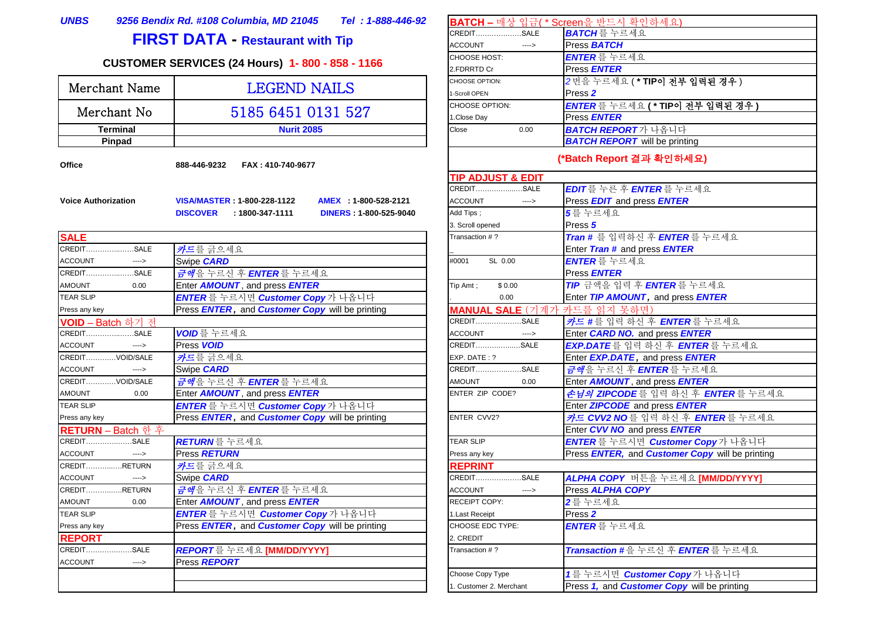**FIRST DATA - Restaurant with Tip**

## **CUSTOMER SERVICES (24 Hours) 1- 800 - 858 - 1166**

|                 |                     |  | CHOOSE OPTION:        |      | 2 번을 누르세요 ( * TIP이 전부 입                           |
|-----------------|---------------------|--|-----------------------|------|---------------------------------------------------|
| Merchant Name   | <b>LEGEND NAILS</b> |  | 1-Scroll OPEN         |      | <b>Press 2</b>                                    |
|                 | 5185 6451 0131 527  |  | <b>CHOOSE OPTION:</b> |      | <mark>ENTER</mark> 를 누르세요 ( * TIP이 전 <sup>브</sup> |
| Merchant No     |                     |  | 1.Close Day           |      | <b>IPress ENTER</b>                               |
| <b>Terminal</b> | <b>Nurit 2085</b>   |  | Close                 | 0.00 | BATCH REPORT가 나옵니다                                |
| <b>Pinpad</b>   |                     |  |                       |      | <b>BATCH REPORT</b> will be printing              |

**Office 888-446-9232 FAX : 410-740-9677**

| <b>Voice Authorization</b> | VISA/MASTER: 1-800-228-1122      | 1-800-528-2121<br><b>AMEX</b> | <b>ACCOUNT</b><br>----- | <b>IPress EDIT and press ENTER</b>                |  |
|----------------------------|----------------------------------|-------------------------------|-------------------------|---------------------------------------------------|--|
|                            | <b>DISCOVER</b><br>1800-347-1111 | DINERS: 1-800-525-9040        | Add Tips:               | <u> 15 š</u><br>'세요<br>╾<br>$-$<br>$\overline{ }$ |  |

| <b>SALE</b>             |                                                                | Transaction #?          | Tran # 를 입력하신 후 ENTER를 누르세요                                    |
|-------------------------|----------------------------------------------------------------|-------------------------|----------------------------------------------------------------|
| <b>CREDIT</b> .<br>SALE | 카드를 긁으세요                                                       |                         | Enter Tran # and press <b>ENTER</b>                            |
| <b>ACCOUNT</b><br>----> | Swipe <b>CARD</b>                                              | SL 0.00<br>#0001        | ENTER를 누르세요                                                    |
| CREDITSALE              | 금액을 누르신 후 ENTER를 누르세요                                          |                         | Press <b>ENTER</b>                                             |
| <b>AMOUNT</b><br>0.00   | Enter <b>AMOUNT</b> , and press <b>ENTER</b>                   | \$0.00<br>Tip Amt;      | TIP 금액을 입력 후 ENTER를 누르세요                                       |
| <b>TEAR SLIP</b>        | ENTER를 누르시면 Customer Copy가 나옵니다                                | 0.00                    | Enter TIP AMOUNT, and press ENTER                              |
| Press any key           | Press <b>ENTER</b> , and <b>Customer Copy</b> will be printing | MANUAL SALE (기계가        | 카드를 읽지 못하면)                                                    |
| VOID - Batch 하기 전       |                                                                | CREDITSALE              | 카드 #를 입력 하신 후 ENTER를 누르세요                                      |
| CREDITSALE              | VOID를 누르세요                                                     | <b>ACCOUNT</b><br>----> | Enter CARD NO. and press ENTER                                 |
| <b>ACCOUNT</b><br>----> | Press <b>VOID</b>                                              | CREDITSALE              | EXP.DATE를 입력 하신 후 ENTER를 누르세요                                  |
| CREDITVOID/SALE         | 카드를 긁으세요                                                       | EXP. DATE: ?            | Enter EXP.DATE, and press ENTER                                |
| <b>ACCOUNT</b><br>----> | Swipe <b>CARD</b>                                              | CREDITSALE              | 금액을 누르신 후 ENTER를 누르세요                                          |
| CREDITVOID/SALE         | 금액을 누르신 후 ENTER를 누르세요                                          | <b>AMOUNT</b><br>0.00   | Enter <b>AMOUNT</b> , and press <b>ENTER</b>                   |
| <b>AMOUNT</b><br>0.00   | Enter <b>AMOUNT</b> , and press <b>ENTER</b>                   | ENTER ZIP CODE?         | 손님의 ZIPCODE를 입력 하신 후 ENTER를 누르세요                               |
| <b>TEAR SLIP</b>        | ENTER를 누르시면 Customer Copy가 나옵니다                                |                         | Enter <b>ZIPCODE</b> and press <b>ENTER</b>                    |
| Press any key           | Press <b>ENTER</b> , and <b>Customer Copy</b> will be printing | ENTER CVV2?             | 카드 CVV2 NO를 입력 하신 후 ENTER를 누르세요                                |
| RETURN - Batch 한 후      |                                                                |                         | Enter CVV NO and press ENTER                                   |
| CREDITSALE              | RETURN를 누르세요                                                   | <b>TEAR SLIP</b>        | ENTER를 누르시면 Customer Copy가 나옵니다                                |
| <b>ACCOUNT</b><br>----> | Press <b>RETURN</b>                                            | Press any key           | Press <b>ENTER</b> , and <b>Customer Copy</b> will be printing |
| CREDITRETURN            | 카드를 긁으세요                                                       | <b>REPRINT</b>          |                                                                |
| <b>ACCOUNT</b><br>----> | Swipe <b>CARD</b>                                              | CREDITSALE              | ALPHA COPY 버튼을 누르세요 [MM/DD/YYYY]                               |
| CREDITRETURN            | 금액을 누르신 후 ENTER를 누르세요                                          | <b>ACCOUNT</b><br>----> | Press <b>ALPHA COPY</b>                                        |
| <b>AMOUNT</b><br>0.00   | Enter <b>AMOUNT</b> , and press <b>ENTER</b>                   | <b>RECEIPT COPY:</b>    | 2를 누르세요                                                        |
| <b>TEAR SLIP</b>        | ENTER를 누르시면 Customer Copy가 나옵니다                                | 1.Last Receipt          | Press 2                                                        |
| Press any key           | Press <b>ENTER</b> , and <b>Customer Copy</b> will be printing | CHOOSE EDC TYPE:        | ENTER를 누르세요                                                    |
| <b>REPORT</b>           |                                                                | 2. CREDIT               |                                                                |
| CREDITSALE              | REPORT를 누르세요 [MM/DD/YYYY]                                      | Transaction #?          | Transaction #을 누르신 후 ENTER를 누르세요                               |
| <b>ACCOUNT</b><br>----> | Press <b>REPORT</b>                                            |                         |                                                                |
|                         |                                                                | Choose Copy Type        | 1를 누르시면 Customer Copy가 나옵니다                                    |
|                         |                                                                | 1. Customer 2. Merchant | Press 1, and <b>Customer Copy</b> will be printing             |

|                              | BATCH - 매상 입금( * Screen을 반드시 확인하세요)                            |
|------------------------------|----------------------------------------------------------------|
| CREDITSALE                   | BATCH를 누르세요                                                    |
| ACCOUNT<br>---->             | Press <b>BATCH</b>                                             |
| CHOOSE HOST:                 | ENTER를 누르세요                                                    |
| 2.FDRRTD Cr                  | Press <b>ENTER</b>                                             |
| CHOOSE OPTION:               | 2번을 누르세요 ( * TIP이 전부 입력된 경우 )                                  |
| 1-Scroll OPEN                | Press 2                                                        |
| CHOOSE OPTION:               | ENTER를 누르세요 ( * TIP이 전부 입력된 경우 )                               |
| 1.Close Day                  | Press ENTER                                                    |
| 0.00<br>Close                | BATCH REPORT가 나옵니다                                             |
|                              | <b>BATCH REPORT</b> will be printing                           |
|                              | (*Batch Report 결과 확인하세요)                                       |
| <b>TIP ADJUST &amp; EDIT</b> |                                                                |
| CREDITSALE                   | EDIT를 누른 후 ENTER를 누르세요                                         |
| <b>ACCOUNT</b><br>---->      | Press <b>EDIT</b> and press <b>ENTER</b>                       |
| Add Tips;                    | 5를 누르세요                                                        |
| 3. Scroll opened             | Press 5                                                        |
| Transaction #?               | Tran # 를 입력하신 후 ENTER를 누르세요                                    |
|                              | Enter Tran # and press ENTER                                   |
| #0001<br>SL 0.00             | <i>ENTER</i> 를 누르세요                                            |
|                              | Press <b>ENTER</b>                                             |
| Tip Amt;<br>\$0.00           | TIP 금액을 입력 후 ENTER를 누르세요                                       |
| 0.00                         | Enter TIP AMOUNT, and press ENTER                              |
| MANUAL SALE (기계가 카드를 읽지 못하면) |                                                                |
| CREDITSALE                   | 카드 #를 입력 하신 후 ENTER를 누르세요                                      |
| <b>ACCOUNT</b>               | Enter CARD NO. and press ENTER                                 |
| CREDITSALE                   | EXP.DATE를 입력 하신 후 ENTER를 누르세요                                  |
| $EXP.$ DATE : ?              | Enter EXP.DATE, and press ENTER                                |
| CREDITSALE                   | <i>금액</i> 을 누르신 후 <i>ENTER</i> 를 누르세요                          |
| AMOUNT<br>0.00               | Enter <b>AMOUNT</b> , and press <b>ENTER</b>                   |
| ENTER ZIP CODE?              | 손님의 ZIPCODE를 입력 하신 후 ENTER를 누르세요                               |
|                              | Enter <b>ZIPCODE</b> and press <b>ENTER</b>                    |
| <b>ENTER CVV2?</b>           | 카드 CVV2 NO를 입력 하신 후 ENTER를 누르세요                                |
|                              | Enter CVV NO and press ENTER                                   |
| <b>TEAR SLIP</b>             | ENTER를 누르시면 Customer Copy가 나옵니다                                |
| Press any key                | Press <b>ENTER</b> , and <b>Customer Copy</b> will be printing |
| <b>REPRINT</b>               |                                                                |
| CREDITSALE                   | ALPHA COPY 버튼을 누르세요 [MM/DD/YYYY]                               |
| <b>ACCOUNT</b><br>---->      | Press ALPHA COPY                                               |
| RECEIPT COPY:                | 2를 누르세요                                                        |
| 1.Last Receipt               | Press 2                                                        |
| CHOOSE EDC TYPE:             | ENTER를 누르세요                                                    |
| 2. CREDIT                    |                                                                |
| Transaction #?               | <b>Transaction #</b> 을 누르신 후 <b>ENTER</b> 를 누르세요               |
|                              |                                                                |
| Choose Copy Type             | 1를 누르시면 Customer Copy가 나옵니다                                    |
| 1. Customer 2. Merchant      | Press 1, and <b>Customer Copy</b> will be printing             |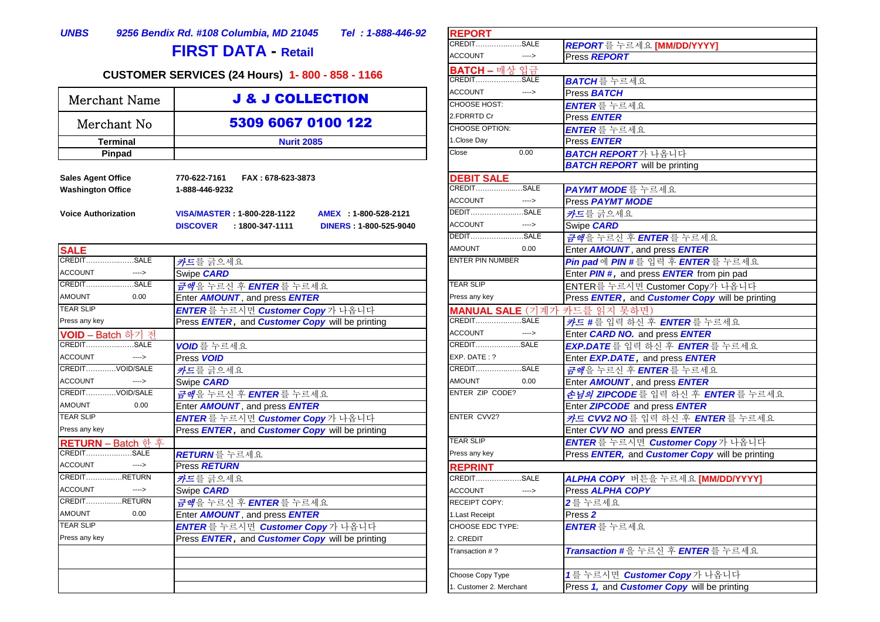**FIRST DATA - Retail**

## **CUSTOMER SERVICES (24 Hours) 1- 800 - 858 - 1166**

| Merchant Name   | <b>J &amp; J COLLECTION</b> | <b>ACCOUNT</b> | $---$ >               | <b>IPress BATCH</b> |
|-----------------|-----------------------------|----------------|-----------------------|---------------------|
|                 |                             | CHOOSE HOST:   |                       | ENTER를 누르세요         |
|                 | 5309 6067 0100 122          | 2.FDRRTD Cr    |                       | <b>Press ENTER</b>  |
| Merchant No     |                             |                | <b>CHOOSE OPTION:</b> | ENTER를 누르세요         |
| <b>Terminal</b> | <b>Nurit 2085</b>           | 1.Close Day    |                       | <b>Press ENTER</b>  |
| <b>Pinpad</b>   |                             | Close          | 0.00                  | BATCH REPORT가 나옵니다  |

| <b>Sales Agent Office</b>  | 770-622-7161<br>FAX : 678-623-3873       |                               | <b>IDEBIT SALE</b> |        |                           |
|----------------------------|------------------------------------------|-------------------------------|--------------------|--------|---------------------------|
| <b>Washington Office</b>   | 1-888-446-9232                           |                               | CREDIT             |        | <b>IPAYMT MODE</b> 를 누르세요 |
|                            |                                          |                               | <b>ACCOUNT</b>     | ---->  | <b>IPress PAYMT MODE</b>  |
| <b>Voice Authorization</b> | VISA/MASTER 1-800-228-1122               | AMEX : 1-800-528-2121         | <b>DEDIT</b>       | . SALE | <b>'카드</b> 를 긁으세요'        |
|                            | $: 1800 - 347 - 1111$<br><b>DISCOVER</b> | <b>DINERS: 1-800-525-9040</b> | <b>ACCOUNT</b>     | ---->  | Swipe <b>CARD</b>         |

| <b>SALE</b><br>CREDIT   |                                                                | <b>AMOUNT</b><br>0.00   | Enter <b>AMOUNT</b> , and press <b>ENTER</b>                   |
|-------------------------|----------------------------------------------------------------|-------------------------|----------------------------------------------------------------|
| .SALE                   | 카드를 긁으세요                                                       | <b>ENTER PIN NUMBER</b> | Pin pad에 PIN #를 입력 후 ENTER를 누르세요                               |
| <b>ACCOUNT</b><br>----> | Swipe <b>CARD</b>                                              |                         | Enter PIN #, and press <b>ENTER</b> from pin pad               |
| CREDIT<br>.SALE         | 금액을 누르신 후 ENTER를 누르세요                                          | <b>TEAR SLIP</b>        | ENTER를 누르시면 Customer Copy가 나옵니다                                |
| <b>AMOUNT</b><br>0.00   | Enter <b>AMOUNT</b> , and press <b>ENTER</b>                   | Press any key           | Press <b>ENTER</b> , and <b>Customer Copy</b> will be printing |
| <b>TEAR SLIP</b>        | ENTER를 누르시면 Customer Copy가 나옵니다                                | MANUAL SALE (기계가        | 카드를 읽지 못하면)                                                    |
| Press any key           | Press <b>ENTER</b> , and <b>Customer Copy</b> will be printing | CREDITSALE              | 카드 #를 입력 하신 후 ENTER를 누르세요                                      |
| VOID - Batch 하기 전       |                                                                | <b>ACCOUNT</b><br>----> | Enter CARD NO. and press ENTER                                 |
| CREDITSALE              | VOID를 누르세요                                                     | <b>CREDIT</b><br>. SALE | EXP.DATE를 입력 하신 후 ENTER를 누르세요                                  |
| <b>ACCOUNT</b><br>----> | Press <b>VOID</b>                                              | EXP. DATE: ?            | Enter <b>EXP.DATE</b> , and press <b>ENTER</b>                 |
| CREDITVOID/SALE         | 카드를 긁으세요                                                       | <b>CREDIT</b><br>SALE   | 금액을 누르신 후 ENTER를 누르세요                                          |
| <b>ACCOUNT</b><br>----> | Swipe <b>CARD</b>                                              | <b>AMOUNT</b><br>0.00   | Enter <b>AMOUNT</b> , and press <b>ENTER</b>                   |
| CREDITVOID/SALE         | 금액을 누르신 후 ENTER를 누르세요                                          | <b>ENTER ZIP CODE?</b>  | 손님의 ZIPCODE를 입력 하신 후 ENTER를 누르세요                               |
| <b>AMOUNT</b><br>0.00   | Enter <b>AMOUNT</b> , and press <b>ENTER</b>                   |                         | Enter <b>ZIPCODE</b> and press <b>ENTER</b>                    |
| <b>TEAR SLIP</b>        | <b>ENTER</b> 를 누르시면 Customer Copy가 나옵니다                        | <b>ENTER CVV2?</b>      | 카드 CVV2 NO를 입력 하신 후 ENTER를 누르세요                                |
| Press any key           | Press <b>ENTER</b> , and <b>Customer Copy</b> will be printing |                         | Enter CVV NO and press ENTER                                   |
| RETURN - Batch 한 후      |                                                                | <b>TEAR SLIP</b>        | ENTER를 누르시면 Customer Copy가 나옵니다                                |
| CREDIT<br>SALE          | RETURN를 누르세요                                                   | Press any key           | Press <b>ENTER</b> , and <b>Customer Copy</b> will be printing |
| <b>ACCOUNT</b><br>----> | <b>Press RETURN</b>                                            | <b>REPRINT</b>          |                                                                |
| CREDITRETURN            | 카드를 긁으세요                                                       | <b>CREDIT</b><br>SALE   | ALPHA COPY 버튼을 누르세요 [MM/DD/YYYY]                               |
| <b>ACCOUNT</b><br>----> | Swipe <b>CARD</b>                                              | <b>ACCOUNT</b><br>----> | Press <b>ALPHA COPY</b>                                        |
| CREDITRETURN            | 금액을 누르신 후 ENTER를 누르세요                                          | <b>RECEIPT COPY:</b>    | 2를 누르세요                                                        |
| <b>AMOUNT</b><br>0.00   | Enter <b>AMOUNT</b> , and press <b>ENTER</b>                   | 1.Last Receipt          | Press 2                                                        |
| <b>TEAR SLIP</b>        | ENTER를 누르시면 Customer Copy가 나옵니다                                | CHOOSE EDC TYPE:        | ENTER를 누르세요                                                    |
| Press any key           | Press <b>ENTER</b> , and <b>Customer Copy</b> will be printing | 2. CREDIT               |                                                                |
|                         |                                                                | Transaction #?          | Transaction #을 누르신 후 ENTER를 누르세요                               |
|                         |                                                                |                         |                                                                |
|                         |                                                                | Choose Copy Type        | 1를 누르시면 Customer Copy가 나옵니다                                    |
|                         |                                                                | . Customer 2. Merchant  | Press 1, and <b>Customer Copy</b> will be printing             |
|                         |                                                                |                         |                                                                |

| <b>REPORT</b>                            |       |                                                                |
|------------------------------------------|-------|----------------------------------------------------------------|
| CREDITSALE                               |       | REPORT를 누르세요 [MM/DD/YYYY]                                      |
| ACCOUNT                                  | ----> | Press REPORT                                                   |
| <mark>BATCH – 매상 입금</mark><br>CREDITSALE |       |                                                                |
|                                          |       | BATCH를 누르세요                                                    |
| ACCOUNT                                  | ----> | Press <b>BATCH</b>                                             |
| CHOOSE HOST:                             |       | ENTER를 누르세요                                                    |
| 2.FDRRTD Cr                              |       | Press <b>ENTER</b>                                             |
| <b>CHOOSE OPTION:</b>                    |       | ENTER를 누르세요                                                    |
| 1.Close Day                              |       | Press <b>ENTER</b>                                             |
| Close                                    | 0.00  | BATCH REPORT가 나옵니다                                             |
|                                          |       | <b>BATCH REPORT</b> will be printing                           |
| <b>DEBIT SALE</b>                        |       |                                                                |
| CREDITSALE                               |       | PAYMT MODE를 누르세요                                               |
| ACCOUNT                                  | ----> | Press PAYMT MODE                                               |
| DEDITSALE                                |       | <i>카</i> 드를 긁으세요                                               |
| ACCOUNT                                  | ----> | Swipe <b>CARD</b>                                              |
| DEDITSALE                                |       | <i>금액</i> 을 누르신 후 <i>ENTER</i> 를 누르세요                          |
| AMOUNT                                   | 0.00  | Enter <b>AMOUNT</b> , and press <b>ENTER</b>                   |
| <b>ENTER PIN NUMBER</b>                  |       | Pin pad에 PIN #를 입력 후 ENTER를 누르세요                               |
|                                          |       | Enter PIN #, and press <b>ENTER</b> from pin pad               |
| <b>TEAR SLIP</b>                         |       | ENTER를 누르시면 Customer Copy가 나옵니다                                |
| Press any key                            |       | Press <b>ENTER</b> , and <b>Customer Copy</b> will be printing |
|                                          |       | MANUAL SALE (기계가 카드를 읽지 못하면)                                   |
| CREDITSALE                               |       | 카드 #를 입력 하신 후 ENTER를 누르세요                                      |
| ACCOUNT                                  |       | Enter CARD NO. and press ENTER                                 |
| CREDITSALE                               |       | EXP.DATE를 입력 하신 후 ENTER를 누르세요                                  |
| EXP. DATE: ?                             |       | Enter <b>EXP.DATE</b> , and press <b>ENTER</b>                 |
| CREDITSALE                               |       | <i>금액</i> 을 누르신 후 <i>ENTER</i> 를 누르세요                          |
| AMOUNT                                   | 0.00  | Enter <b>AMOUNT</b> , and press <b>ENTER</b>                   |
| <b>ENTER ZIP CODE?</b>                   |       | 손님의 ZIPCODE를 입력 하신 후 ENTER를 누르세요                               |
|                                          |       | Enter <b>ZIPCODE</b> and press <b>ENTER</b>                    |
| <b>ENTER CVV2?</b>                       |       | 카드 CVV2 NO를 입력 하신 후 ENTER를 누르세요                                |
|                                          |       | Enter CVV NO and press ENTER                                   |
| <b>TEAR SLIP</b>                         |       | ENTER를 누르시면 Customer Copy가 나옵니다                                |
| Press any key                            |       | Press <b>ENTER</b> , and <b>Customer Copy</b> will be printing |
| <b>REPRINT</b>                           |       |                                                                |
| <b>CREDITSALE</b>                        |       | ALPHA COPY 버튼을 누르세요 [MM/DD/YYYY]                               |
| ACCOUNT                                  | ----> | Press ALPHA COPY                                               |
| RECEIPT COPY:                            |       | 2를 누르세요                                                        |
| 1.Last Receipt                           |       | Press 2                                                        |
| CHOOSE EDC TYPE:                         |       | ENTER를 누르세요                                                    |
| 2. CREDIT                                |       |                                                                |
| Transaction # ?                          |       | Transaction #을 누르신 후 ENTER를 누르세요                               |
|                                          |       |                                                                |
| Choose Copy Type                         |       | 1를 누르시면 Customer Copy가 나옵니다                                    |
| 1. Customer 2. Merchant                  |       | Press 1, and <b>Customer Copy</b> will be printing             |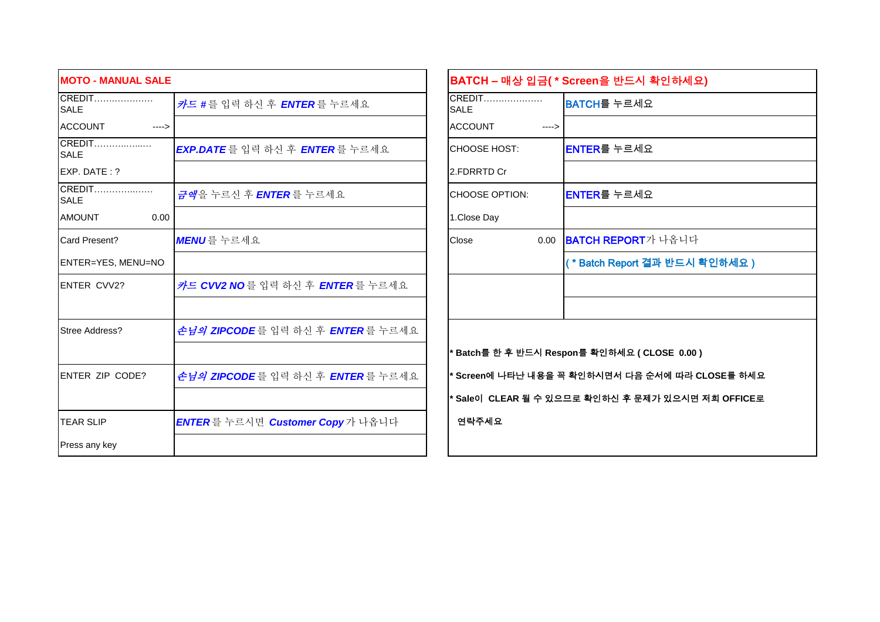| <b>MOTO - MANUAL SALE</b>    |                                                  |                              |       | BATCH – 매상 입금( * Screen을 반드시 확인하세요)              |
|------------------------------|--------------------------------------------------|------------------------------|-------|--------------------------------------------------|
| <b>CREDIT</b><br><b>SALE</b> | 카드 #를 입력 하신 후 ENTER를 누르세요                        | <b>CREDIT</b><br><b>SALE</b> |       | <b>BATCH를 누르세요</b>                               |
| <b>ACCOUNT</b><br>$---$      |                                                  | <b>ACCOUNT</b>               | ----> |                                                  |
| <b>CREDIT</b><br><b>SALE</b> | EXP.DATE를 입력 하신 후 ENTER를 누르세요                    | ICHOOSE HOST:                |       | ENTER를 누르세요                                      |
| EXP. DATE: ?                 |                                                  | 2.FDRRTD Cr                  |       |                                                  |
| CREDIT<br><b>SALE</b>        | 금액을 누르신 후 ENTER를 누르세요                            | <b>CHOOSE OPTION:</b>        |       | ENTER를 누르세요                                      |
| <b>AMOUNT</b><br>0.00        |                                                  | 1.Close Day                  |       |                                                  |
| Card Present?                | MENU를 누르세요                                       | Close                        |       | 0.00 BATCH REPORT가 나옵니다                          |
| ENTER=YES, MENU=NO           |                                                  |                              |       | ( * Batch Report 결과 반드시 확인하세요 )                  |
| <b>ENTER CVV2?</b>           | 카드 CVV2 NO를 입력 하신 후 ENTER를 누르세요                  |                              |       |                                                  |
|                              |                                                  |                              |       |                                                  |
| Stree Address?               | 손님의 ZIPCODE를 입력 하신 후 ENTER를 누르세요                 |                              |       |                                                  |
|                              |                                                  |                              |       | * Batch를 한 후 반드시 Respon를 확인하세요 ( CLOSE 0.00 )    |
| <b>IENTER ZIP CODE?</b>      | <i>손님의 ZIPCODE</i> 를 입력 하신 후 <i>ENTER</i> 를 누르세요 |                              |       | * Screen에 나타난 내용을 꼭 확인하시면서 다음 순서에 따라 CLOSE를 하서   |
|                              |                                                  |                              |       | * Sale이 CLEAR 될 수 있으므로 확인하신 후 문제가 있으시면 저희 OFFICE |
| <b>TEAR SLIP</b>             | ENTER를 누르시면 Customer Copy가 나옵니다                  | 연락주세요                        |       |                                                  |
| Press any key                |                                                  |                              |       |                                                  |

|                       |       | BATCH – 매상 입금( * Screen을 반드시 확인하세요)               |
|-----------------------|-------|---------------------------------------------------|
| CREDIT<br>SAI F       |       | BATCH를 누르세요                                       |
| <b>ACCOUNT</b>        | ----> |                                                   |
| CHOOSE HOST:          |       | ENTER를 누르세요                                       |
| 2.FDRRTD Cr           |       |                                                   |
| <b>CHOOSE OPTION:</b> |       | ENTER를 누르세요                                       |
| 1.Close Day           |       |                                                   |
| Close                 | 0.00  | <b>BATCH REPORT</b> 가 나옵니다                        |
|                       |       | ( * Batch Report 결과 반드시 확인하세요 )                   |
|                       |       |                                                   |
|                       |       |                                                   |
|                       |       |                                                   |
|                       |       | * Batch를 한 후 반드시 Respon를 확인하세요 ( CLOSE 0.00 )     |
|                       |       | * Screen에 나타난 내용을 꼭 확인하시면서 다음 순서에 따라 CLOSE를 하세요   |
|                       |       | * Sale이 CLEAR 될 수 있으므로 확인하신 후 문제가 있으시면 저희 OFFICE로 |
| 연락주세요                 |       |                                                   |
|                       |       |                                                   |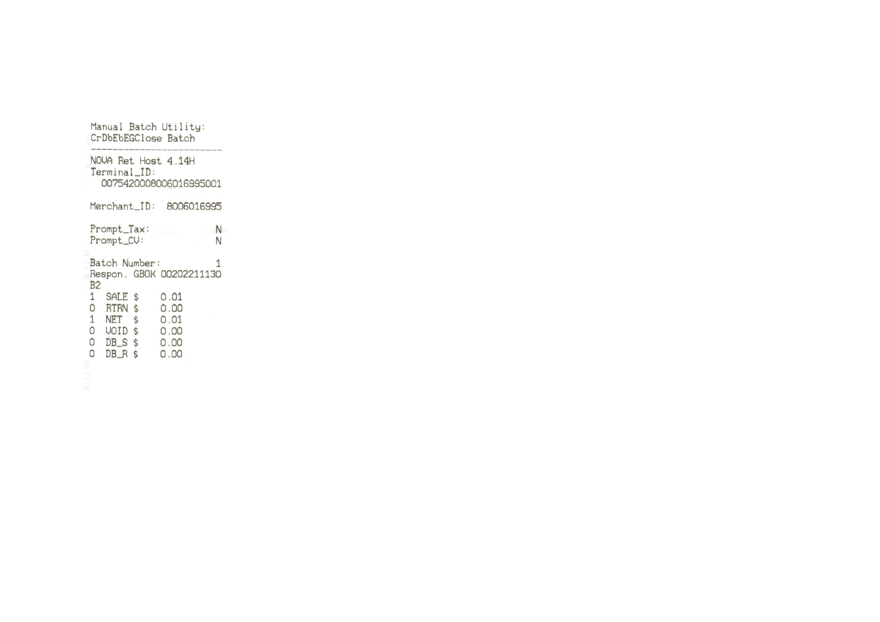| Terminal_ID:                                                                          |        | NOVA Ret Host 4.14H<br>0075420008006016995001 |        |
|---------------------------------------------------------------------------------------|--------|-----------------------------------------------|--------|
|                                                                                       |        | Merchant_ID: 8006016995                       |        |
| $Prompt\_Tax:$<br>Prompt_CU:                                                          |        |                                               | N<br>N |
| Batch Number:<br>B2                                                                   |        | Respon. GBOK 00202211130                      | 1      |
| $\overline{1}$<br>SALE \$<br>O RTRN \$<br>1 NET \$<br>O VOID \$<br>$0$ $DB_S$ \$<br>0 | DB R S | 0.01<br>0.00<br>0.01<br>0.00<br>0.00<br>0.00  |        |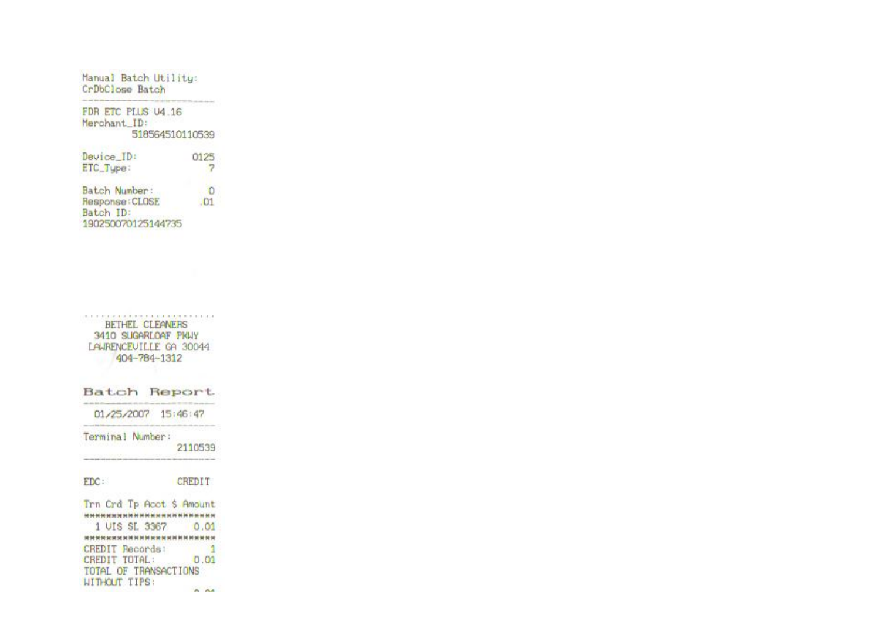Manual Batch Utility: CrDbClose Batch **Contract Contract Contract** FDR ETC PLUS U4.16 Merchant\_ID: 518564510110539 Device ID: 0125 ETC\_Type:  $\overline{7}$ Batch Number:  $\circ$ Response: CLOSE  $.01$ 

Batch ID: 190250070125144735

THE R. P. LEWIS CO., LANSING, MICH. 49-14039-1-120-2 **BETHEL CLEANERS** 3410 SUGARLOAF PKWY LAURENCEUILLE GA 30044 404-784-1312

Batch Report

01/25/2007 15:46:47

**Similar** 

Terminal Number: 2110539

EDC: CREDIT

Trn Crd Tp Acct \$ Amount \*\*\*\*\*\*\*\*\*\*\*\*\*\*\*\*\*\*\*\*\*\*\*\*\* 1 UIS SL 3367  $0.01$ **\*\*\*\*\*\*\*\*\*\*\*\*\*\*\*\*\*\*\*\*\*\*\*\*\* CREDIT Records:**  $\frac{1}{2}$ CREDIT TOTAL:  $0.01$ TOTAL OF TRANSACTIONS **WITHOUT TIPS:**  $A^{\mathcal{A}}$